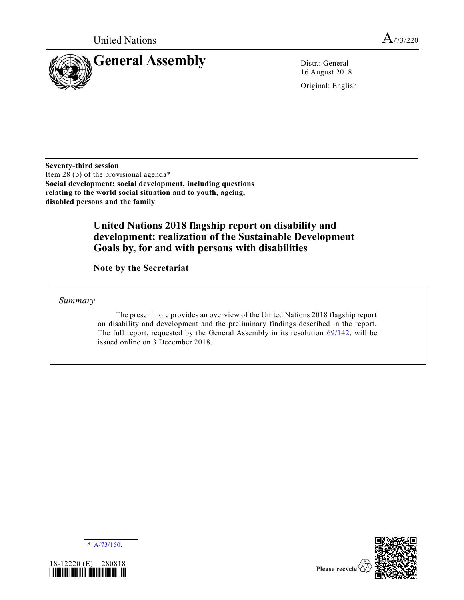

16 August 2018

Original: English

**Seventy-third session** Item 28 (b) of the provisional agenda\* **Social development: social development, including questions relating to the world social situation and to youth, ageing, disabled persons and the family**

# **United Nations 2018 flagship report on disability and development: realization of the Sustainable Development Goals by, for and with persons with disabilities**

**Note by the Secretariat**

*Summary*

The present note provides an overview of the United Nations 2018 flagship report on disability and development and the preliminary findings described in the report. The full report, requested by the General Assembly in its resolution [69/142,](https://undocs.org/A/RES/69/142) will be issued online on 3 December 2018.







Please recycle  $\Diamond$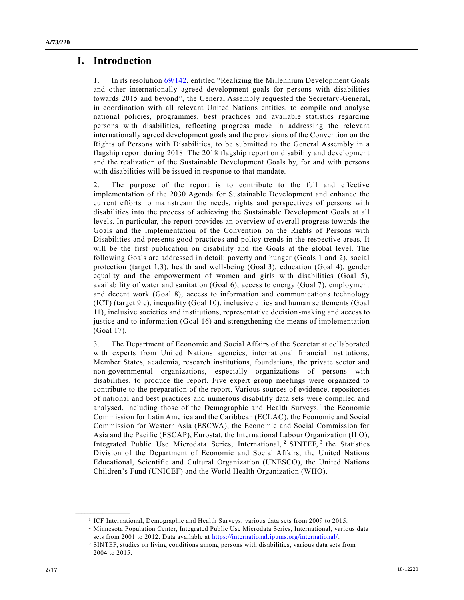# **I. Introduction**

1. In its resolution [69/142,](https://undocs.org/A/RES/69/142) entitled "Realizing the Millennium Development Goals and other internationally agreed development goals for persons with disabilities towards 2015 and beyond", the General Assembly requested the Secretary-General, in coordination with all relevant United Nations entities, to compile and analyse national policies, programmes, best practices and available statistics regarding persons with disabilities, reflecting progress made in addressing the relevant internationally agreed development goals and the provisions of the Convention on the Rights of Persons with Disabilities, to be submitted to the General Assembly in a flagship report during 2018. The 2018 flagship report on disability and development and the realization of the Sustainable Development Goals by, for and with persons with disabilities will be issued in response to that mandate.

2. The purpose of the report is to contribute to the full and effective implementation of the 2030 Agenda for Sustainable Development and enhance the current efforts to mainstream the needs, rights and perspectives of persons with disabilities into the process of achieving the Sustainable Development Goals at all levels. In particular, the report provides an overview of overall progress towards the Goals and the implementation of the Convention on the Rights of Persons with Disabilities and presents good practices and policy trends in the respective areas. It will be the first publication on disability and the Goals at the global level. The following Goals are addressed in detail: poverty and hunger (Goals 1 and 2), social protection (target 1.3), health and well-being (Goal 3), education (Goal 4), gender equality and the empowerment of women and girls with disabilities (Goal 5), availability of water and sanitation (Goal 6), access to energy (Goal 7), employment and decent work (Goal 8), access to information and communications technology (ICT) (target 9.c), inequality (Goal 10), inclusive cities and human settlements (Goal 11), inclusive societies and institutions, representative decision-making and access to justice and to information (Goal 16) and strengthening the means of implementation (Goal 17).

3. The Department of Economic and Social Affairs of the Secretariat collaborated with experts from United Nations agencies, international financial institutions, Member States, academia, research institutions, foundations, the private sector and non-governmental organizations, especially organizations of persons with disabilities, to produce the report. Five expert group meetings were organized to contribute to the preparation of the report. Various sources of evidence, repositories of national and best practices and numerous disability data sets were compiled and analysed, including those of the Demographic and Health Surveys,<sup>1</sup> the Economic Commission for Latin America and the Caribbean (ECLAC), the Economic and Social Commission for Western Asia (ESCWA), the Economic and Social Commission for Asia and the Pacific (ESCAP), Eurostat, the International Labour Organization (ILO), Integrated Public Use Microdata Series, International, <sup>2</sup> SINTEF, <sup>3</sup> the Statistics Division of the Department of Economic and Social Affairs, the United Nations Educational, Scientific and Cultural Organization (UNESCO), the United Nations Children's Fund (UNICEF) and the World Health Organization (WHO).

<sup>1</sup> ICF International, Demographic and Health Surveys, various data sets from 2009 to 2015.

<sup>2</sup> Minnesota Population Center, Integrated Public Use Microdata Series, International, various data sets from 2001 to 2012. Data available at [https://international.ipums.org/international/.](https://international.ipums.org/international/)

<sup>3</sup> SINTEF, studies on living conditions among persons with disabilities, various data sets from 2004 to 2015.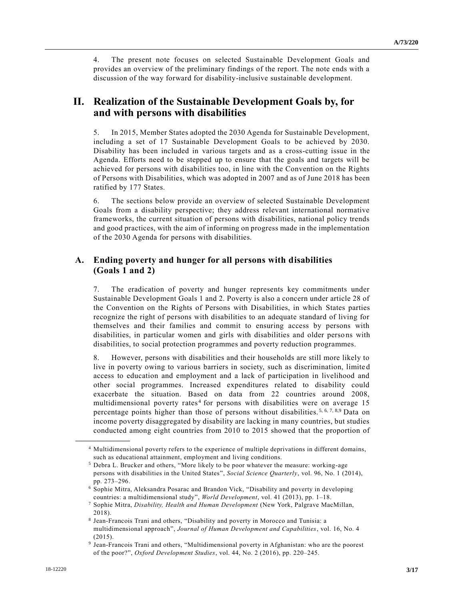4. The present note focuses on selected Sustainable Development Goals and provides an overview of the preliminary findings of the report. The note ends with a discussion of the way forward for disability-inclusive sustainable development.

## **II. Realization of the Sustainable Development Goals by, for and with persons with disabilities**

5. In 2015, Member States adopted the 2030 Agenda for Sustainable Development, including a set of 17 Sustainable Development Goals to be achieved by 2030. Disability has been included in various targets and as a cross-cutting issue in the Agenda. Efforts need to be stepped up to ensure that the goals and targets will be achieved for persons with disabilities too, in line with the Convention on the Rights of Persons with Disabilities, which was adopted in 2007 and as of June 2018 has been ratified by 177 States.

6. The sections below provide an overview of selected Sustainable Development Goals from a disability perspective; they address relevant international normative frameworks, the current situation of persons with disabilities, national policy trends and good practices, with the aim of informing on progress made in the implementation of the 2030 Agenda for persons with disabilities.

### **A. Ending poverty and hunger for all persons with disabilities (Goals 1 and 2)**

7. The eradication of poverty and hunger represents key commitments under Sustainable Development Goals 1 and 2. Poverty is also a concern under article 28 of the Convention on the Rights of Persons with Disabilities, in which States parties recognize the right of persons with disabilities to an adequate standard of living for themselves and their families and commit to ensuring access by persons with disabilities, in particular women and girls with disabilities and older perso ns with disabilities, to social protection programmes and poverty reduction programmes.

8. However, persons with disabilities and their households are still more likely to live in poverty owing to various barriers in society, such as discrimination, limite d access to education and employment and a lack of participation in livelihood and other social programmes. Increased expenditures related to disability could exacerbate the situation. Based on data from 22 countries around 2008, multidimensional poverty rates<sup>4</sup> for persons with disabilities were on average 15 percentage points higher than those of persons without disabilities.<sup>5, 6, 7, 8,9</sup> Data on income poverty disaggregated by disability are lacking in many countries, but studies conducted among eight countries from 2010 to 2015 showed that the proportion of

<sup>4</sup> Multidimensional poverty refers to the experience of multiple deprivations in different domains, such as educational attainment, employment and living conditions.

<sup>5</sup> Debra L. Brucker and others, "More likely to be poor whatever the measure: working-age persons with disabilities in the United States", *Social Science Quarterly*, vol. 96, No. 1 (2014), pp. 273–296.

<sup>6</sup> Sophie Mitra, Aleksandra Posarac and Brandon Vick, "Disability and poverty in developing countries: a multidimensional study", *World Development*, vol. 41 (2013), pp. 1–18.

<sup>7</sup> Sophie Mitra, *Disability, Health and Human Development* (New York, Palgrave MacMillan, 2018).

<sup>8</sup> Jean-Francois Trani and others, "Disability and poverty in Morocco and Tunisia: a multidimensional approach", *Journal of Human Development and Capabilities*, vol. 16, No. 4 (2015).

<sup>9</sup> Jean-Francois Trani and others, "Multidimensional poverty in Afghanistan: who are the poorest of the poor?", *Oxford Development Studies*, vol. 44, No. 2 (2016), pp. 220–245.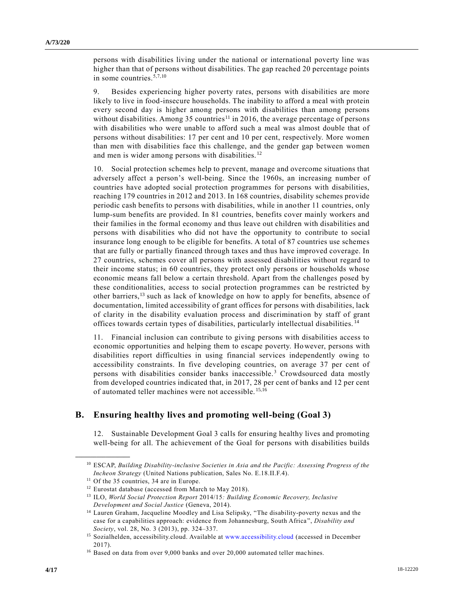persons with disabilities living under the national or international poverty line was higher than that of persons without disabilities. The gap reached 20 percentage points in some countries.5,7,10

9. Besides experiencing higher poverty rates, persons with disabilities are more likely to live in food-insecure households. The inability to afford a meal with protein every second day is higher among persons with disabilities than among persons without disabilities. Among 35 countries<sup>11</sup> in 2016, the average percentage of persons with disabilities who were unable to afford such a meal was almost double that of persons without disabilities: 17 per cent and 10 per cent, respectively. More women than men with disabilities face this challenge, and the gender gap between women and men is wider among persons with disabilities. <sup>12</sup>

10. Social protection schemes help to prevent, manage and overcome situations that adversely affect a person's well-being. Since the 1960s, an increasing number of countries have adopted social protection programmes for persons with disabilities, reaching 179 countries in 2012 and 2013. In 168 countries, disability schemes provide periodic cash benefits to persons with disabilities, while in another 11 countries, only lump-sum benefits are provided. In 81 countries, benefits cover mainly workers and their families in the formal economy and thus leave out children with disabilities and persons with disabilities who did not have the opportunity to contribute to social insurance long enough to be eligible for benefits. A total of 87 countries use schemes that are fully or partially financed through taxes and thus have improved coverage. In 27 countries, schemes cover all persons with assessed disabilities without regard to their income status; in 60 countries, they protect only persons or households whose economic means fall below a certain threshold. Apart from the challenges posed by these conditionalities, access to social protection programmes can be restricted by other barriers,<sup>13</sup> such as lack of knowledge on how to apply for benefits, absence of documentation, limited accessibility of grant offices for persons with disabilities, lack of clarity in the disability evaluation process and discrimination by staff of grant offices towards certain types of disabilities, particularly intellectual disabilities. <sup>14</sup>

11. Financial inclusion can contribute to giving persons with disabilities access to economic opportunities and helping them to escape poverty. However, persons with disabilities report difficulties in using financial services independently owing to accessibility constraints. In five developing countries, on average 37 per cent of persons with disabilities consider banks inaccessible. <sup>3</sup> Crowdsourced data mostly from developed countries indicated that, in 2017, 28 per cent of banks and 12 per cent of automated teller machines were not accessible. 15,16

#### **B. Ensuring healthy lives and promoting well-being (Goal 3)**

12. Sustainable Development Goal 3 calls for ensuring healthy lives and promoting well-being for all. The achievement of the Goal for persons with disabilities builds

<sup>10</sup> ESCAP, *Building Disability-inclusive Societies in Asia and the Pacific: Assessing Progress of the Incheon Strategy* (United Nations publication, Sales No. E.18.II.F.4).

<sup>&</sup>lt;sup>11</sup> Of the 35 countries, 34 are in Europe.

<sup>&</sup>lt;sup>12</sup> Eurostat database (accessed from March to May 2018).

<sup>13</sup> ILO, *World Social Protection Report* 2014/15*: Building Economic Recovery, Inclusive Development and Social Justice* (Geneva, 2014).

<sup>14</sup> Lauren Graham, Jacqueline Moodley and Lisa Selipsky, "The disability-poverty nexus and the case for a capabilities approach: evidence from Johannesburg, South Africa ", *Disability and Society*, vol. 28, No. 3 (2013), pp. 324–337.

<sup>&</sup>lt;sup>15</sup> Sozialhelden, accessibility.cloud. Available at [www.accessibility.cloud](file:///C:/Users/emily.fox/AppData/Roaming/Microsoft/Word/www.accessibility.cloud) (accessed in December 2017).

<sup>&</sup>lt;sup>16</sup> Based on data from over 9,000 banks and over 20,000 automated teller machines.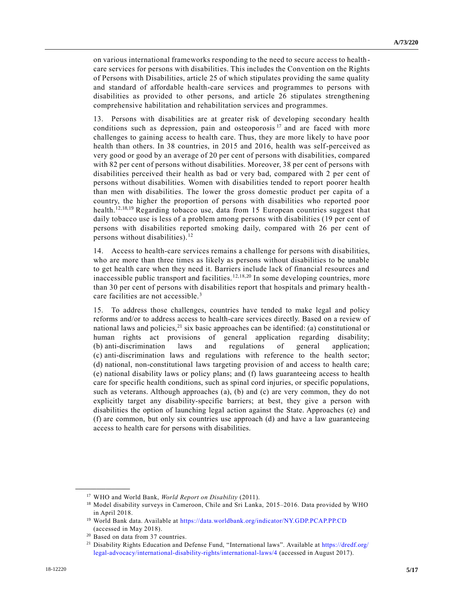on various international frameworks responding to the need to secure access to healthcare services for persons with disabilities. This includes the Convention on the Rights of Persons with Disabilities, article 25 of which stipulates providing the same quality and standard of affordable health-care services and programmes to persons with disabilities as provided to other persons, and article 26 stipulates strengthening comprehensive habilitation and rehabilitation services and programmes.

13. Persons with disabilities are at greater risk of developing secondary health conditions such as depression, pain and osteoporosis  $17$  and are faced with more challenges to gaining access to health care. Thus, they are more likely to have poor health than others. In 38 countries, in 2015 and 2016, health was self-perceived as very good or good by an average of 20 per cent of persons with disabilities, compared with 82 per cent of persons without disabilities. Moreover, 38 per cent of persons with disabilities perceived their health as bad or very bad, compared with 2 per cent of persons without disabilities. Women with disabilities tended to report poorer health than men with disabilities. The lower the gross domestic product per capita of a country, the higher the proportion of persons with disabilities who reported poor health.<sup>12,18,19</sup> Regarding tobacco use, data from 15 European countries suggest that daily tobacco use is less of a problem among persons with disabilities (19 per cent of persons with disabilities reported smoking daily, compared with 26 per cent of persons without disabilities).<sup>12</sup>

14. Access to health-care services remains a challenge for persons with disabilities, who are more than three times as likely as persons without disabilities to be unable to get health care when they need it. Barriers include lack of financial resources and inaccessible public transport and facilities.  $12,18,20$  In some developing countries, more than 30 per cent of persons with disabilities report that hospitals and primary health care facilities are not accessible.<sup>3</sup>

15. To address those challenges, countries have tended to make legal and policy reforms and/or to address access to health-care services directly. Based on a review of national laws and policies, $^{21}$  six basic approaches can be identified: (a) constitutional or human rights act provisions of general application regarding disability; (b) anti-discrimination laws and regulations of general application; (c) anti-discrimination laws and regulations with reference to the health sector; (d) national, non-constitutional laws targeting provision of and access to health care; (e) national disability laws or policy plans; and (f) laws guaranteeing access to health care for specific health conditions, such as spinal cord injuries, or specific populations, such as veterans. Although approaches (a), (b) and (c) are very common, they do not explicitly target any disability-specific barriers; at best, they give a person with disabilities the option of launching legal action against the State. Approaches (e) and (f) are common, but only six countries use approach (d) and have a law guaranteeing access to health care for persons with disabilities.

<sup>17</sup> WHO and World Bank, *World Report on Disability* (2011).

<sup>&</sup>lt;sup>18</sup> Model disability surveys in Cameroon, Chile and Sri Lanka, 2015–2016. Data provided by WHO in April 2018.

<sup>19</sup> World Bank data. Available at <https://data.worldbank.org/indicator/NY.GDP.PCAP.PP.CD> (accessed in May 2018).

<sup>20</sup> Based on data from 37 countries.

<sup>&</sup>lt;sup>21</sup> Disability Rights Education and Defense Fund, "International laws". Available a[t https://dredf.org/](https://dredf.org/legal-advocacy/international-disability-rights/international-laws/4) [legal-advocacy/international-disability-rights/international-laws/4](https://dredf.org/legal-advocacy/international-disability-rights/international-laws/4) (accessed in August 2017).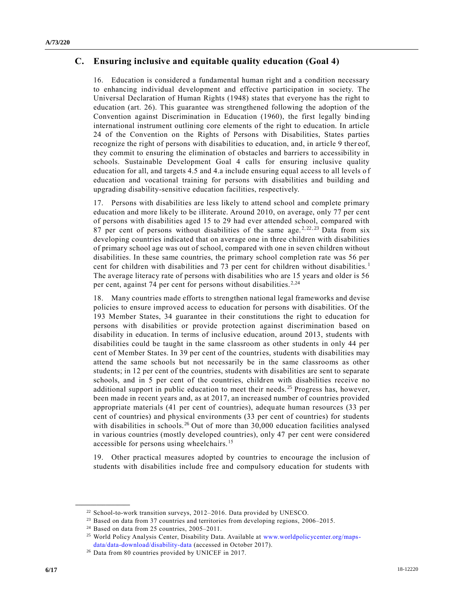## **C. Ensuring inclusive and equitable quality education (Goal 4)**

16. Education is considered a fundamental human right and a condition necessary to enhancing individual development and effective participation in society. The Universal Declaration of Human Rights (1948) states that everyone has the right to education (art. 26). This guarantee was strengthened following the adoption of the Convention against Discrimination in Education (1960), the first legally bind ing international instrument outlining core elements of the right to education. In article 24 of the Convention on the Rights of Persons with Disabilities, States parties recognize the right of persons with disabilities to education, and, in article 9 ther eof, they commit to ensuring the elimination of obstacles and barriers to accessibility in schools. Sustainable Development Goal 4 calls for ensuring inclusive quality education for all, and targets 4.5 and 4.a include ensuring equal access to all levels o f education and vocational training for persons with disabilities and building and upgrading disability-sensitive education facilities, respectively.

17. Persons with disabilities are less likely to attend school and complete primary education and more likely to be illiterate. Around 2010, on average, only 77 per cent of persons with disabilities aged 15 to 29 had ever attended school, compared with 87 per cent of persons without disabilities of the same age.<sup>2,22,23</sup> Data from six developing countries indicated that on average one in three children with disabilities of primary school age was out of school, compared with one in seven children without disabilities. In these same countries, the primary school completion rate was 56 per cent for children with disabilities and 73 per cent for children without disabilities.<sup>1</sup> The average literacy rate of persons with disabilities who are 15 years and older is 56 per cent, against 74 per cent for persons without disabilities.  $2,24$ 

18. Many countries made efforts to strengthen national legal frameworks and devise policies to ensure improved access to education for persons with disabilities. Of the 193 Member States, 34 guarantee in their constitutions the right to education for persons with disabilities or provide protection against discrimination based on disability in education. In terms of inclusive education, around 2013, students with disabilities could be taught in the same classroom as other students in only 44 per cent of Member States. In 39 per cent of the countries, students with disabilities may attend the same schools but not necessarily be in the same classrooms as other students; in 12 per cent of the countries, students with disabilities are sent to separate schools, and in 5 per cent of the countries, children with disabilities receive no additional support in public education to meet their needs.<sup>25</sup> Progress has, however, been made in recent years and, as at 2017, an increased number of countries provided appropriate materials (41 per cent of countries), adequate human resources (33 per cent of countries) and physical environments (33 per cent of countries) for students with disabilities in schools.<sup>26</sup> Out of more than 30,000 education facilities analysed in various countries (mostly developed countries), only 47 per cent were considered accessible for persons using wheelchairs. <sup>15</sup>

19. Other practical measures adopted by countries to encourage the inclusion of students with disabilities include free and compulsory education for students with

<sup>22</sup> School-to-work transition surveys, 2012–2016. Data provided by UNESCO.

<sup>&</sup>lt;sup>23</sup> Based on data from 37 countries and territories from developing regions, 2006–2015.

<sup>&</sup>lt;sup>24</sup> Based on data from 25 countries, 2005-2011.

<sup>&</sup>lt;sup>25</sup> World Policy Analysis Center, Disability Data. Available at [www.worldpolicycenter.org/maps](file:///C:/Users/emily.fox/AppData/Roaming/Microsoft/Word/www.worldpolicycenter.org/maps-data/data-download/disability-data)[data/data-download/disability-data](file:///C:/Users/emily.fox/AppData/Roaming/Microsoft/Word/www.worldpolicycenter.org/maps-data/data-download/disability-data) (accessed in October 2017).

<sup>26</sup> Data from 80 countries provided by UNICEF in 2017.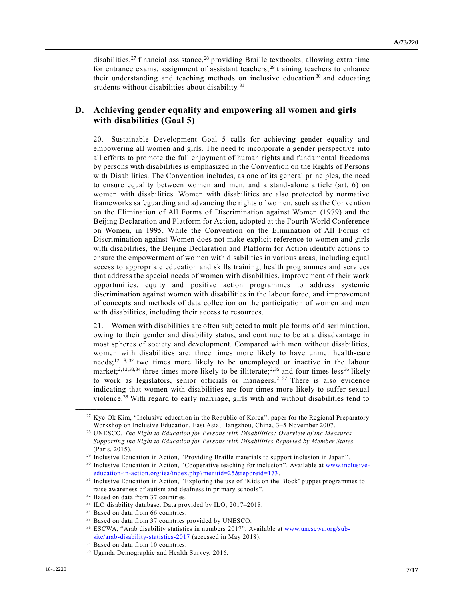disabilities,<sup>27</sup> financial assistance,<sup>28</sup> providing Braille textbooks, allowing extra time for entrance exams, assignment of assistant teachers,  $29$  training teachers to enhance their understanding and teaching methods on inclusive education<sup>30</sup> and educating students without disabilities about disability.<sup>31</sup>

## **D. Achieving gender equality and empowering all women and girls with disabilities (Goal 5)**

20. Sustainable Development Goal 5 calls for achieving gender equality and empowering all women and girls. The need to incorporate a gender perspective into all efforts to promote the full enjoyment of human rights and fundamental freedoms by persons with disabilities is emphasized in the Convention on the Rights of Persons with Disabilities. The Convention includes, as one of its general principles, the need to ensure equality between women and men, and a stand-alone article (art. 6) on women with disabilities. Women with disabilities are also protected by normative frameworks safeguarding and advancing the rights of women, such as the Convention on the Elimination of All Forms of Discrimination against Women (1979) and the Beijing Declaration and Platform for Action, adopted at the Fourth World Conference on Women, in 1995. While the Convention on the Elimination of All Forms of Discrimination against Women does not make explicit reference to women and girls with disabilities, the Beijing Declaration and Platform for Action identify actions to ensure the empowerment of women with disabilities in various areas, including equal access to appropriate education and skills training, health programmes and services that address the special needs of women with disabilities, improvement of their work opportunities, equity and positive action programmes to address systemic discrimination against women with disabilities in the labour force, and improvement of concepts and methods of data collection on the participation of women and men with disabilities, including their access to resources.

21. Women with disabilities are often subjected to multiple forms of discrimination, owing to their gender and disability status, and continue to be at a disadvantage in most spheres of society and development. Compared with men without disabilities, women with disabilities are: three times more likely to have unmet health-care needs;<sup>12,18,32</sup> two times more likely to be unemployed or inactive in the labour market;<sup>2,12,33,34</sup> three times more likely to be illiterate;<sup>2,35</sup> and four times less<sup>36</sup> likely to work as legislators, senior officials or managers.<sup>2, 37</sup> There is also evidence indicating that women with disabilities are four times more likely to suffer sexual violence.<sup>38</sup> With regard to early marriage, girls with and without disabilities tend to

<sup>&</sup>lt;sup>27</sup> Kye-Ok Kim, "Inclusive education in the Republic of Korea", paper for the Regional Preparatory Workshop on Inclusive Education, East Asia, Hangzhou, China, 3–5 November 2007.

<sup>28</sup> UNESCO, *The Right to Education for Persons with Disabilities: Overview of the Measures Supporting the Right to Education for Persons with Disabilities Reported by Member States* (Paris, 2015).

<sup>29</sup> Inclusive Education in Action, "Providing Braille materials to support inclusion in Japan".

<sup>30</sup> Inclusive Education in Action, "Cooperative teaching for inclusion". Available at [www.inclusive](file:///C:/Users/emily.fox/AppData/Roaming/Microsoft/Word/www.inclusive-education-in-action.org/iea/index.php%3fmenuid=25&reporeid=173)[education-in-action.org/iea/index.php?menuid=25&reporeid=173.](file:///C:/Users/emily.fox/AppData/Roaming/Microsoft/Word/www.inclusive-education-in-action.org/iea/index.php%3fmenuid=25&reporeid=173)

<sup>31</sup> Inclusive Education in Action, "Exploring the use of 'Kids on the Block' puppet programmes to raise awareness of autism and deafness in primary schools".

<sup>32</sup> Based on data from 37 countries.

<sup>33</sup> ILO disability database. Data provided by ILO, 2017–2018.

<sup>&</sup>lt;sup>34</sup> Based on data from 66 countries.

<sup>35</sup> Based on data from 37 countries provided by UNESCO.

<sup>36</sup> ESCWA, "Arab disability statistics in numbers 2017". Available at [www.unescwa.org/sub](file:///C:/Users/emily.fox/AppData/Roaming/Microsoft/Word/www.unescwa.org/sub-site/arab-disability-statistics-2017)[site/arab-disability-statistics-2017](file:///C:/Users/emily.fox/AppData/Roaming/Microsoft/Word/www.unescwa.org/sub-site/arab-disability-statistics-2017) (accessed in May 2018).

<sup>37</sup> Based on data from 10 countries.

<sup>38</sup> Uganda Demographic and Health Survey, 2016.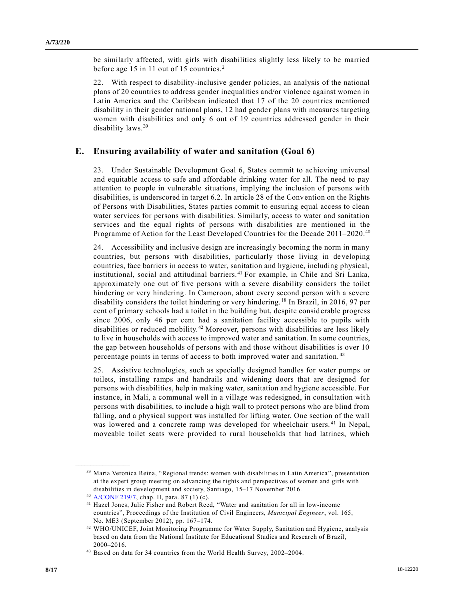be similarly affected, with girls with disabilities slightly less likely to be married before age 15 in 11 out of 15 countries.<sup>2</sup>

22. With respect to disability-inclusive gender policies, an analysis of the national plans of 20 countries to address gender inequalities and/or violence against women in Latin America and the Caribbean indicated that 17 of the 20 countries mentioned disability in their gender national plans, 12 had gender plans with measures targeting women with disabilities and only 6 out of 19 countries addressed gender in their disability laws.<sup>39</sup>

## **E. Ensuring availability of water and sanitation (Goal 6)**

23. Under Sustainable Development Goal 6, States commit to achieving universal and equitable access to safe and affordable drinking water for all. The need to pay attention to people in vulnerable situations, implying the inclusion of persons with disabilities, is underscored in target 6.2. In article 28 of the Convention on the Rights of Persons with Disabilities, States parties commit to ensuring equal access to clean water services for persons with disabilities. Similarly, access to water and sanitation services and the equal rights of persons with disabilities are mentioned in the Programme of Action for the Least Developed Countries for the Decade 2011–2020.<sup>40</sup>

24. Accessibility and inclusive design are increasingly becoming the norm in many countries, but persons with disabilities, particularly those living in de veloping countries, face barriers in access to water, sanitation and hygiene, including physical, institutional, social and attitudinal barriers. <sup>41</sup> For example, in Chile and Sri Lanka, approximately one out of five persons with a severe disability considers the toilet hindering or very hindering. In Cameroon, about every second person with a severe disability considers the toilet hindering or very hindering. <sup>18</sup> In Brazil, in 2016, 97 per cent of primary schools had a toilet in the building but, despite considerable progress since 2006, only 46 per cent had a sanitation facility accessible to pupils with disabilities or reduced mobility.<sup>42</sup> Moreover, persons with disabilities are less likely to live in households with access to improved water and sanitation. In some countries, the gap between households of persons with and those without disabilities is over 10 percentage points in terms of access to both improved water and sanitation.<sup>43</sup>

25. Assistive technologies, such as specially designed handles for water pumps or toilets, installing ramps and handrails and widening doors that are designed for persons with disabilities, help in making water, sanitation and hygiene accessible. For instance, in Mali, a communal well in a village was redesigned, in consultation wit h persons with disabilities, to include a high wall to protect persons who are blind from falling, and a physical support was installed for lifting water. One section of the wall was lowered and a concrete ramp was developed for wheelchair users.<sup>41</sup> In Nepal, moveable toilet seats were provided to rural households that had latrines, which

<sup>&</sup>lt;sup>39</sup> Maria Veronica Reina, "Regional trends: women with disabilities in Latin America", presentation at the expert group meeting on advancing the rights and perspectives of women and girls with disabilities in development and society, Santiago, 15–17 November 2016.

<sup>40</sup> [A/CONF.219/7,](https://undocs.org/A/CONF.219/7) chap. II, para. 87 (1) (c).

<sup>41</sup> Hazel Jones, Julie Fisher and Robert Reed, "Water and sanitation for all in low-income countries", Proceedings of the Institution of Civil Engineers, *Municipal Engineer*, vol. 165, No. ME3 (September 2012), pp. 167–174.

<sup>42</sup> WHO/UNICEF, Joint Monitoring Programme for Water Supply, Sanitation and Hygiene, analysis based on data from the National Institute for Educational Studies and Research of Brazil, 2000–2016.

<sup>43</sup> Based on data for 34 countries from the World Health Survey, 2002–2004.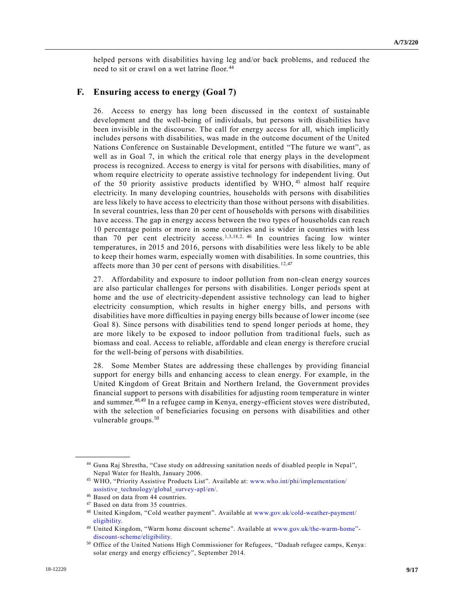helped persons with disabilities having leg and/or back problems, and reduced the need to sit or crawl on a wet latrine floor. <sup>44</sup>

#### **F. Ensuring access to energy (Goal 7)**

26. Access to energy has long been discussed in the context of sustainable development and the well-being of individuals, but persons with disabilities have been invisible in the discourse. The call for energy access for all, which implicitly includes persons with disabilities, was made in the outcome document of the United Nations Conference on Sustainable Development, entitled "The future we want", as well as in Goal 7, in which the critical role that energy plays in the development process is recognized. Access to energy is vital for persons with disabilities, many of whom require electricity to operate assistive technology for independent living. Out of the 50 priority assistive products identified by WHO, <sup>45</sup> almost half require electricity. In many developing countries, households with persons with disabilities are less likely to have access to electricity than those without persons with disabilities. In several countries, less than 20 per cent of households with persons with disabilities have access. The gap in energy access between the two types of households can reach 10 percentage points or more in some countries and is wider in countries with less than 70 per cent electricity access.<sup>1,3,18,2, 46</sup> In countries facing low winter temperatures, in 2015 and 2016, persons with disabilities were less likely to be able to keep their homes warm, especially women with disabilities. In some countries, this affects more than 30 per cent of persons with disabilities. <sup>12,47</sup>

27. Affordability and exposure to indoor pollution from non-clean energy sources are also particular challenges for persons with disabilities. Longer periods spent at home and the use of electricity-dependent assistive technology can lead to higher electricity consumption, which results in higher energy bills, and persons with disabilities have more difficulties in paying energy bills because of lower income (see Goal 8). Since persons with disabilities tend to spend longer periods at home, they are more likely to be exposed to indoor pollution from traditional fuels, such as biomass and coal. Access to reliable, affordable and clean energy is therefore crucial for the well-being of persons with disabilities.

28. Some Member States are addressing these challenges by providing financial support for energy bills and enhancing access to clean energy. For example, in the United Kingdom of Great Britain and Northern Ireland, the Government provides financial support to persons with disabilities for adjusting room temperature in winter and summer.48,49 In a refugee camp in Kenya, energy-efficient stoves were distributed, with the selection of beneficiaries focusing on persons with disabilities and other vulnerable groups.<sup>50</sup>

<sup>44</sup> Guna Raj Shrestha, "Case study on addressing sanitation needs of disabled people in Nepal", Nepal Water for Health, January 2006.

<sup>45</sup> WHO, "Priority Assistive Products List". Available at: [www.who.int/phi/implementation/](http://www.who.int/phi/implementation/assistive_technology/global_survey-apl/en/) assistive technology/global survey-apl/en/.

<sup>46</sup> Based on data from 44 countries.

<sup>47</sup> Based on data from 35 countries.

<sup>48</sup> United Kingdom, "Cold weather payment". Available at [www.gov.uk/cold-weather-payment/](http://www.gov.uk/cold-weather-payment/eligibility) [eligibility.](http://www.gov.uk/cold-weather-payment/eligibility)

<sup>49</sup> United Kingdom, "Warm home discount scheme". Available at [www.gov.uk/the-warm-home"](file://///unhq.un.org/shared/english_wp51/MSWDocs/_2Semifinal/www.gov.uk/the-warm-home) [discount-scheme/eligibility.](file://///unhq.un.org/shared/english_wp51/MSWDocs/_2Semifinal/www.gov.uk/the-warm-home)

<sup>50</sup> Office of the United Nations High Commissioner for Refugees, "Dadaab refugee camps, Kenya: solar energy and energy efficiency", September 2014.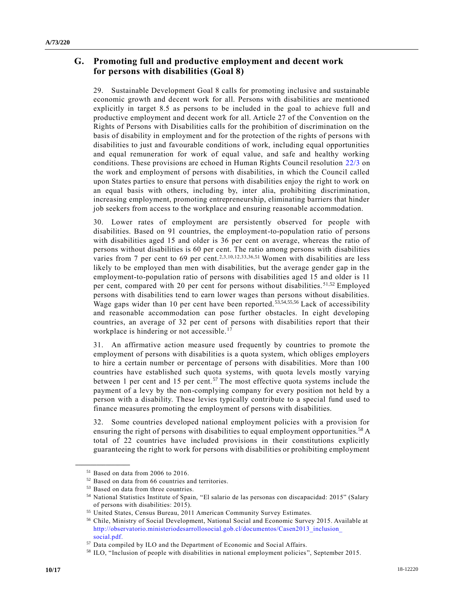## **G. Promoting full and productive employment and decent work for persons with disabilities (Goal 8)**

29. Sustainable Development Goal 8 calls for promoting inclusive and sustainable economic growth and decent work for all. Persons with disabilities are mentioned explicitly in target 8.5 as persons to be included in the goal to achieve full and productive employment and decent work for all. Article 27 of the Convention on the Rights of Persons with Disabilities calls for the prohibition of discrimination on the basis of disability in employment and for the protection of the rights of persons with disabilities to just and favourable conditions of work, including equal opportunities and equal remuneration for work of equal value, and safe and healthy working conditions. These provisions are echoed in Human Rights Council resolution [22/3](https://undocs.org/A/RES/22/3) on the work and employment of persons with disabilities, in which the Council called upon States parties to ensure that persons with disabilities enjoy the right to work on an equal basis with others, including by, inter alia, prohibiting discrimination, increasing employment, promoting entrepreneurship, eliminating barriers that hinder job seekers from access to the workplace and ensuring reasonable accommodation.

30. Lower rates of employment are persistently observed for people with disabilities. Based on 91 countries, the employment-to-population ratio of persons with disabilities aged 15 and older is 36 per cent on average, whereas the ratio of persons without disabilities is 60 per cent. The ratio among persons with disabilities varies from 7 per cent to 69 per cent.<sup>2,3,10,12,33,36,51</sup> Women with disabilities are less likely to be employed than men with disabilities, but the average gender gap in the employment-to-population ratio of persons with disabilities aged 15 and older is 11 per cent, compared with 20 per cent for persons without disabilities. 51,52 Employed persons with disabilities tend to earn lower wages than persons without disabilities. Wage gaps wider than 10 per cent have been reported.  $53,54,55,56$  Lack of accessibility and reasonable accommodation can pose further obstacles. In eight developing countries, an average of 32 per cent of persons with disabilities report that their workplace is hindering or not accessible.<sup>17</sup>

31. An affirmative action measure used frequently by countries to promote the employment of persons with disabilities is a quota system, which obliges employers to hire a certain number or percentage of persons with disabilities. More than 100 countries have established such quota systems, with quota levels mostly varying between 1 per cent and 15 per cent.<sup>57</sup> The most effective quota systems include the payment of a levy by the non-complying company for every position not held by a person with a disability. These levies typically contribute to a special fund used to finance measures promoting the employment of persons with disabilities.

32. Some countries developed national employment policies with a provision for ensuring the right of persons with disabilities to equal employment opportunities.<sup>58</sup> A total of 22 countries have included provisions in their constitutions explicitly guaranteeing the right to work for persons with disabilities or prohibiting employment

<sup>51</sup> Based on data from 2006 to 2016.

<sup>52</sup> Based on data from 66 countries and territories.

<sup>53</sup> Based on data from three countries.

<sup>54</sup> National Statistics Institute of Spain, "El salario de las personas con discapacidad: 2015" (Salary of persons with disabilities: 2015).

<sup>55</sup> United States, Census Bureau, 2011 American Community Survey Estimates.

<sup>56</sup> Chile, Ministry of Social Development, National Social and Economic Survey 2015. Available at [http://observatorio.ministeriodesarrollosocial.gob.cl/documentos/Casen2013\\_inclusion\\_](http://observatorio.ministeriodesarrollosocial.gob.cl/documentos/Casen2013_inclusion_social.pdf.) [social.pdf.](http://observatorio.ministeriodesarrollosocial.gob.cl/documentos/Casen2013_inclusion_social.pdf.)

<sup>57</sup> Data compiled by ILO and the Department of Economic and Social Affairs.

<sup>58</sup> ILO, "Inclusion of people with disabilities in national employment policies", September 2015.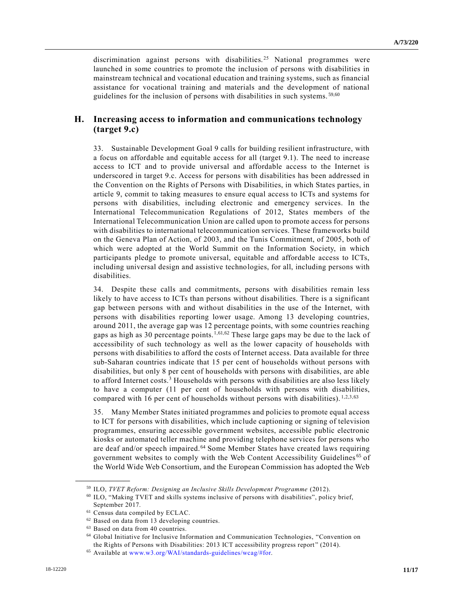discrimination against persons with disabilities.<sup>25</sup> National programmes were launched in some countries to promote the inclusion of persons with disabilities in mainstream technical and vocational education and training systems, such as financial assistance for vocational training and materials and the development of national guidelines for the inclusion of persons with disabilities in such systems. 59,60

#### **H. Increasing access to information and communications technology (target 9.c)**

33. Sustainable Development Goal 9 calls for building resilient infrastructure, with a focus on affordable and equitable access for all (target 9.1). The need to increase access to ICT and to provide universal and affordable access to the Internet is underscored in target 9.c. Access for persons with disabilities has been addressed in the Convention on the Rights of Persons with Disabilities, in which States parties, in article 9, commit to taking measures to ensure equal access to ICTs and systems for persons with disabilities, including electronic and emergency services. In the International Telecommunication Regulations of 2012, States members of the International Telecommunication Union are called upon to promote access for persons with disabilities to international telecommunication services. These frameworks build on the Geneva Plan of Action, of 2003, and the Tunis Commitment, of 2005, both of which were adopted at the World Summit on the Information Society, in which participants pledge to promote universal, equitable and affordable access to ICTs, including universal design and assistive technologies, for all, including persons with disabilities.

34. Despite these calls and commitments, persons with disabilities remain less likely to have access to ICTs than persons without disabilities. There is a significant gap between persons with and without disabilities in the use of the Internet, with persons with disabilities reporting lower usage. Among 13 developing countries, around 2011, the average gap was 12 percentage points, with some countries reaching gaps as high as 30 percentage points.<sup>1,61,62</sup> These large gaps may be due to the lack of accessibility of such technology as well as the lower capacity of households with persons with disabilities to afford the costs of Internet access. Data available for three sub-Saharan countries indicate that 15 per cent of households without persons with disabilities, but only 8 per cent of households with persons with disabilities, are able to afford Internet costs.<sup>3</sup> Households with persons with disabilities are also less likely to have a computer (11 per cent of households with persons with disabilities, compared with 16 per cent of households without persons with disabilities).  $1,2,3,63$ 

35. Many Member States initiated programmes and policies to promote equal access to ICT for persons with disabilities, which include captioning or signing of television programmes, ensuring accessible government websites, accessible public electronic kiosks or automated teller machine and providing telephone services for persons who are deaf and/or speech impaired.<sup>64</sup> Some Member States have created laws requiring government websites to comply with the Web Content Accessibility Guidelines <sup>65</sup> of the World Wide Web Consortium, and the European Commission has adopted the Web

<sup>59</sup> ILO, *TVET Reform: Designing an Inclusive Skills Development Programme* (2012).

<sup>60</sup> ILO, "Making TVET and skills systems inclusive of persons with disabilities", policy brief, September 2017.

<sup>61</sup> Census data compiled by ECLAC.

<sup>62</sup> Based on data from 13 developing countries.

<sup>63</sup> Based on data from 40 countries.

<sup>64</sup> Global Initiative for Inclusive Information and Communication Technologies, "Convention on the Rights of Persons with Disabilities: 2013 ICT accessibility progress report" (2014).

<sup>65</sup> Available at [www.w3.org/WAI/standards-guidelines/wcag/#for.](file://///unhq.un.org/shared/english_wp51/MSWDocs/_2Semifinal/www.w3.org/WAI/standards-guidelines/wcag/%23for)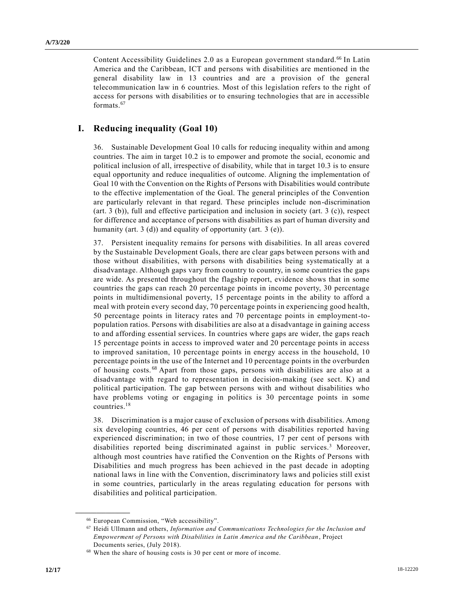Content Accessibility Guidelines 2.0 as a European government standard.<sup>66</sup> In Latin America and the Caribbean, ICT and persons with disabilities are mentioned in the general disability law in 13 countries and are a provision of the general telecommunication law in 6 countries. Most of this legislation refers to the right of access for persons with disabilities or to ensuring technologies that are in accessible formats.<sup>67</sup>

## **I. Reducing inequality (Goal 10)**

36. Sustainable Development Goal 10 calls for reducing inequality within and among countries. The aim in target 10.2 is to empower and promote the social, economic and political inclusion of all, irrespective of disability, while that in target 10.3 is to ensure equal opportunity and reduce inequalities of outcome. Aligning the implementation of Goal 10 with the Convention on the Rights of Persons with Disabilities would contribute to the effective implementation of the Goal. The general principles of the Convention are particularly relevant in that regard. These principles include non-discrimination (art. 3 (b)), full and effective participation and inclusion in society (art. 3 (c)), respect for difference and acceptance of persons with disabilities as part of human diversity and humanity (art. 3 (d)) and equality of opportunity (art. 3 (e)).

37. Persistent inequality remains for persons with disabilities. In all areas covered by the Sustainable Development Goals, there are clear gaps between persons with and those without disabilities, with persons with disabilities being systematically at a disadvantage. Although gaps vary from country to country, in some countries the gaps are wide. As presented throughout the flagship report, evidence shows that in some countries the gaps can reach 20 percentage points in income poverty, 30 percentage points in multidimensional poverty, 15 percentage points in the ability to afford a meal with protein every second day, 70 percentage points in experiencing good health, 50 percentage points in literacy rates and 70 percentage points in employment-topopulation ratios. Persons with disabilities are also at a disadvantage in gaining access to and affording essential services. In countries where gaps are wider, the gaps reach 15 percentage points in access to improved water and 20 percentage points in access to improved sanitation, 10 percentage points in energy access in the household, 10 percentage points in the use of the Internet and 10 percentage points in the overburden of housing costs.<sup>68</sup> Apart from those gaps, persons with disabilities are also at a disadvantage with regard to representation in decision-making (see sect. K) and political participation. The gap between persons with and without disabilities who have problems voting or engaging in politics is 30 percentage points in some countries.<sup>18</sup>

38. Discrimination is a major cause of exclusion of persons with disabilities. Among six developing countries, 46 per cent of persons with disabilities reported having experienced discrimination; in two of those countries, 17 per cent of persons with disabilities reported being discriminated against in public services.<sup>3</sup> Moreover, although most countries have ratified the Convention on the Rights of Persons with Disabilities and much progress has been achieved in the past decade in adopting national laws in line with the Convention, discriminatory laws and policies still exist in some countries, particularly in the areas regulating education for persons with disabilities and political participation.

<sup>66</sup> European Commission, "Web accessibility".

<sup>67</sup> Heidi Ullmann and others, *Information and Communications Technologies for the Inclusion and Empowerment of Persons with Disabilities in Latin America and the Caribbean*, Project Documents series, (July 2018).

<sup>68</sup> When the share of housing costs is 30 per cent or more of income.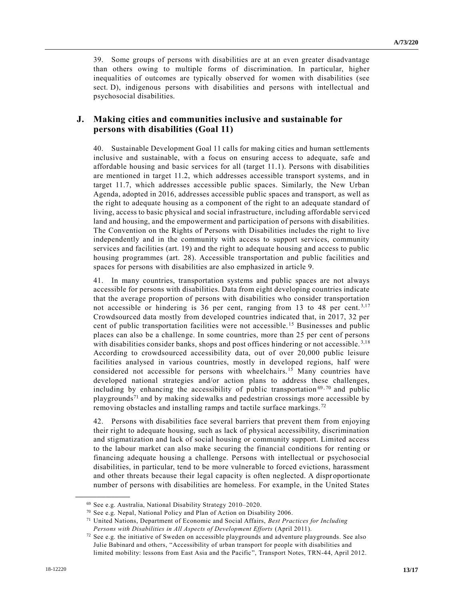39. Some groups of persons with disabilities are at an even greater disadvantage than others owing to multiple forms of discrimination. In particular, higher inequalities of outcomes are typically observed for women with disabilities (see sect. D), indigenous persons with disabilities and persons with intellectual and psychosocial disabilities.

#### **J. Making cities and communities inclusive and sustainable for persons with disabilities (Goal 11)**

40. Sustainable Development Goal 11 calls for making cities and human settlements inclusive and sustainable, with a focus on ensuring access to adequate, safe and affordable housing and basic services for all (target 11.1). Persons with disabilities are mentioned in target 11.2, which addresses accessible transport systems, and in target 11.7, which addresses accessible public spaces. Similarly, the New Urban Agenda, adopted in 2016, addresses accessible public spaces and transport, as well as the right to adequate housing as a component of the right to an adequate standard of living, access to basic physical and social infrastructure, including affordable servi ced land and housing, and the empowerment and participation of persons with disabilities. The Convention on the Rights of Persons with Disabilities includes the right to live independently and in the community with access to support services, community services and facilities (art. 19) and the right to adequate housing and access to public housing programmes (art. 28). Accessible transportation and public facilities and spaces for persons with disabilities are also emphasized in article 9.

41. In many countries, transportation systems and public spaces are not always accessible for persons with disabilities. Data from eight developing countries indicate that the average proportion of persons with disabilities who consider transportation not accessible or hindering is 36 per cent, ranging from 13 to 48 per cent.<sup>3,17</sup> Crowdsourced data mostly from developed countries indicated that, in 2017, 32 per cent of public transportation facilities were not accessible. <sup>15</sup> Businesses and public places can also be a challenge. In some countries, more than 25 per cent of persons with disabilities consider banks, shops and post offices hindering or not accessible.<sup>3,18</sup> According to crowdsourced accessibility data, out of over 20,000 public leisure facilities analysed in various countries, mostly in developed regions, half were considered not accessible for persons with wheelchairs.<sup>15</sup> Many countries have developed national strategies and/or action plans to address these challenges, including by enhancing the accessibility of public transportation  $69,70$  and public playgrounds<sup>71</sup> and by making sidewalks and pedestrian crossings more accessible by removing obstacles and installing ramps and tactile surface markings. <sup>72</sup>

42. Persons with disabilities face several barriers that prevent them from enjoying their right to adequate housing, such as lack of physical accessibility, discrimination and stigmatization and lack of social housing or community support. Limited access to the labour market can also make securing the financial conditions for renting or financing adequate housing a challenge. Persons with intellectual or psychosocial disabilities, in particular, tend to be more vulnerable to forced evictions, harassment and other threats because their legal capacity is often neglected. A dispr oportionate number of persons with disabilities are homeless. For example, in the United States

<sup>69</sup> See e.g. Australia, National Disability Strategy 2010–2020.

<sup>70</sup> See e.g. Nepal, National Policy and Plan of Action on Disability 2006.

<sup>71</sup> United Nations, Department of Economic and Social Affairs, *Best Practices for Including Persons with Disabilities in All Aspects of Development Efforts* (April 2011).

 $72$  See e.g. the initiative of Sweden on accessible playgrounds and adventure playgrounds. See also Julie Babinard and others, "Accessibility of urban transport for people with disabilities and limited mobility: lessons from East Asia and the Pacific", Transport Notes, TRN-44, April 2012.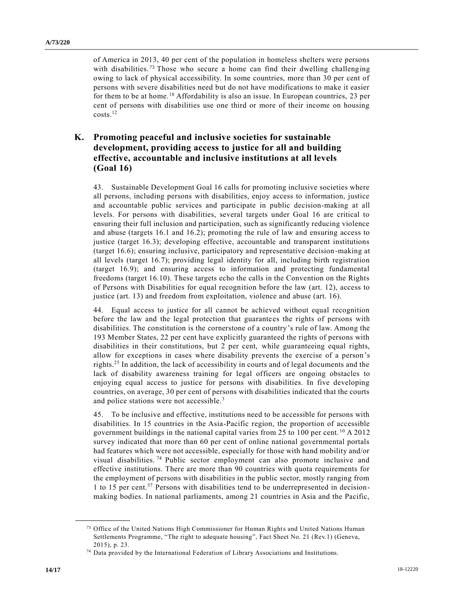of America in 2013, 40 per cent of the population in homeless shelters were persons with disabilities.<sup>73</sup> Those who secure a home can find their dwelling challenging owing to lack of physical accessibility. In some countries, more than 30 per cent of persons with severe disabilities need but do not have modifications to make it easier for them to be at home.<sup>18</sup> Affordability is also an issue. In European countries, 23 per cent of persons with disabilities use one third or more of their income on housing  $costs.<sup>12</sup>$ 

## **K. Promoting peaceful and inclusive societies for sustainable development, providing access to justice for all and building effective, accountable and inclusive institutions at all levels (Goal 16)**

43. Sustainable Development Goal 16 calls for promoting inclusive societies where all persons, including persons with disabilities, enjoy access to information, justice and accountable public services and participate in public decision-making at all levels. For persons with disabilities, several targets under Goal 16 are critical to ensuring their full inclusion and participation, such as significantly reducing violence and abuse (targets 16.1 and 16.2); promoting the rule of law and ensuring access to justice (target 16.3); developing effective, accountable and transparent institutions (target 16.6); ensuring inclusive, participatory and representative decision-making at all levels (target 16.7); providing legal identity for all, including birth registration (target 16.9); and ensuring access to information and protecting fundamental freedoms (target 16.10). These targets echo the calls in the Convention on the Rights of Persons with Disabilities for equal recognition before the law (art. 12), access to justice (art. 13) and freedom from exploitation, violence and abuse (art. 16).

44. Equal access to justice for all cannot be achieved without equal recognition before the law and the legal protection that guarantees the rights of persons with disabilities. The constitution is the cornerstone of a country's rule of law. Among the 193 Member States, 22 per cent have explicitly guaranteed the rights of persons with disabilities in their constitutions, but 2 per cent, while guaranteeing equal rights, allow for exceptions in cases where disability prevents the exercise of a person's rights.<sup>25</sup> In addition, the lack of accessibility in courts and of legal documents and the lack of disability awareness training for legal officers are ongoing obstacles to enjoying equal access to justice for persons with disabilities. In five developing countries, on average, 30 per cent of persons with disabilities indicated that the courts and police stations were not accessible.<sup>3</sup>

45. To be inclusive and effective, institutions need to be accessible for persons with disabilities. In 15 countries in the Asia-Pacific region, the proportion of accessible government buildings in the national capital varies from 25 to 100 per cent. <sup>10</sup> A 2012 survey indicated that more than 60 per cent of online national governmental portals had features which were not accessible, especially for those with hand mobility and/or visual disabilities. <sup>74</sup> Public sector employment can also promote inclusive and effective institutions. There are more than 90 countries with quota requirements for the employment of persons with disabilities in the public sector, mostly ranging from 1 to 15 per cent.<sup>57</sup> Persons with disabilities tend to be underrepresented in decisionmaking bodies. In national parliaments, among 21 countries in Asia and the Pacific,

<sup>73</sup> Office of the United Nations High Commissioner for Human Rights and United Nations Human Settlements Programme, "The right to adequate housing", Fact Sheet No. 21 (Rev.1) (Geneva, 2015), p. 23.

<sup>74</sup> Data provided by the International Federation of Library Associations and Institutions.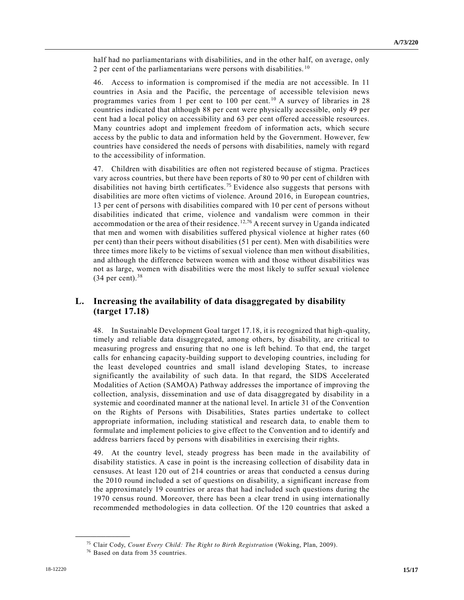half had no parliamentarians with disabilities, and in the other half, on average, only 2 per cent of the parliamentarians were persons with disabilities.  $10$ 

46. Access to information is compromised if the media are not accessible. In 11 countries in Asia and the Pacific, the percentage of accessible television news programmes varies from 1 per cent to 100 per cent.<sup>10</sup> A survey of libraries in 28 countries indicated that although 88 per cent were physically accessible, only 49 per cent had a local policy on accessibility and 63 per cent offered accessible resources. Many countries adopt and implement freedom of information acts, which secure access by the public to data and information held by the Government. However, few countries have considered the needs of persons with disabilities, namely with regard to the accessibility of information.

47. Children with disabilities are often not registered because of stigma. Practices vary across countries, but there have been reports of 80 to 90 per cent of children with disabilities not having birth certificates.<sup>75</sup> Evidence also suggests that persons with disabilities are more often victims of violence. Around 2016, in European countries, 13 per cent of persons with disabilities compared with 10 per cent of persons without disabilities indicated that crime, violence and vandalism were common in their accommodation or the area of their residence.  $12,76$  A recent survey in Uganda indicated that men and women with disabilities suffered physical violence at higher rates (60 per cent) than their peers without disabilities (51 per cent). Men with disabilities were three times more likely to be victims of sexual violence than men without disabilities, and although the difference between women with and those without disabilities was not as large, women with disabilities were the most likely to suffer sexual violence  $(34$  per cent).<sup>38</sup>

## **L. Increasing the availability of data disaggregated by disability (target 17.18)**

48. In Sustainable Development Goal target 17.18, it is recognized that high-quality, timely and reliable data disaggregated, among others, by disability, are critical to measuring progress and ensuring that no one is left behind. To that end, the target calls for enhancing capacity-building support to developing countries, including for the least developed countries and small island developing States, to increase significantly the availability of such data. In that regard, the SIDS Accelerated Modalities of Action (SAMOA) Pathway addresses the importance of improving the collection, analysis, dissemination and use of data disaggregated by disability in a systemic and coordinated manner at the national level. In article 31 of the Convention on the Rights of Persons with Disabilities, States parties undertake to collect appropriate information, including statistical and research data, to enable them to formulate and implement policies to give effect to the Convention and to identify and address barriers faced by persons with disabilities in exercising their rights.

49. At the country level, steady progress has been made in the availability of disability statistics. A case in point is the increasing collection of disability data in censuses. At least 120 out of 214 countries or areas that conducted a census during the 2010 round included a set of questions on disability, a significant increase from the approximately 19 countries or areas that had included such questions during the 1970 census round. Moreover, there has been a clear trend in using internationally recommended methodologies in data collection. Of the 120 countries that asked a

<sup>75</sup> Clair Cody, *Count Every Child: The Right to Birth Registration* (Woking, Plan, 2009).

<sup>76</sup> Based on data from 35 countries.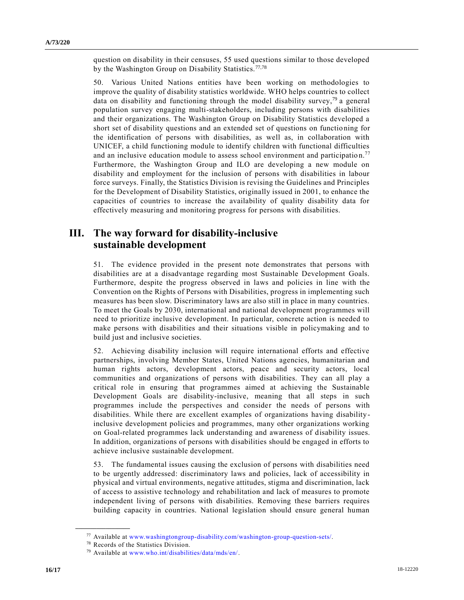question on disability in their censuses, 55 used questions similar to those developed by the Washington Group on Disability Statistics.<sup>77,78</sup>

50. Various United Nations entities have been working on methodologies to improve the quality of disability statistics worldwide. WHO helps countries to collect data on disability and functioning through the model disability survey,<sup>79</sup> a general population survey engaging multi-stakeholders, including persons with disabilities and their organizations. The Washington Group on Disability Statistics developed a short set of disability questions and an extended set of questions on functio ning for the identification of persons with disabilities, as well as, in collaboration with UNICEF, a child functioning module to identify children with functional difficulties and an inclusive education module to assess school environment and participation.<sup>77</sup> Furthermore, the Washington Group and ILO are developing a new module on disability and employment for the inclusion of persons with disabilities in labour force surveys. Finally, the Statistics Division is revising the Guidelines and Principles for the Development of Disability Statistics, originally issued in 2001, to enhance the capacities of countries to increase the availability of quality disability data for effectively measuring and monitoring progress for persons with disabilities.

# **III. The way forward for disability-inclusive sustainable development**

51. The evidence provided in the present note demonstrates that persons with disabilities are at a disadvantage regarding most Sustainable Development Goals. Furthermore, despite the progress observed in laws and policies in line with the Convention on the Rights of Persons with Disabilities, progress in implementing such measures has been slow. Discriminatory laws are also still in place in many countries. To meet the Goals by 2030, international and national development programmes will need to prioritize inclusive development. In particular, concrete action is needed to make persons with disabilities and their situations visible in policymaking and to build just and inclusive societies.

52. Achieving disability inclusion will require international efforts and effective partnerships, involving Member States, United Nations agencies, humanitarian and human rights actors, development actors, peace and security actors, local communities and organizations of persons with disabilities. They can all play a critical role in ensuring that programmes aimed at achieving the Sustainable Development Goals are disability-inclusive, meaning that all steps in such programmes include the perspectives and consider the needs of persons with disabilities. While there are excellent examples of organizations having disabilityinclusive development policies and programmes, many other organizations working on Goal-related programmes lack understanding and awareness of disability issues. In addition, organizations of persons with disabilities should be engaged in efforts to achieve inclusive sustainable development.

53. The fundamental issues causing the exclusion of persons with disabilities need to be urgently addressed: discriminatory laws and policies, lack of accessibility in physical and virtual environments, negative attitudes, stigma and discrimination, lack of access to assistive technology and rehabilitation and lack of measures to promote independent living of persons with disabilities. Removing these barriers requires building capacity in countries. National legislation should ensure general human

<sup>77</sup> Available at [www.washingtongroup-disability.com/washington-group-question-sets/.](file://///unhq.un.org/shared/english_wp51/MSWDocs/_2Semifinal/www.washingtongroup-disability.com/washington-group-question-sets/)

<sup>78</sup> Records of the Statistics Division.

<sup>79</sup> Available at [www.who.int/disabilities/data/mds/en/.](file://///unhq.un.org/shared/english_wp51/MSWDocs/_2Semifinal/www.who.int/disabilities/data/mds/en/)